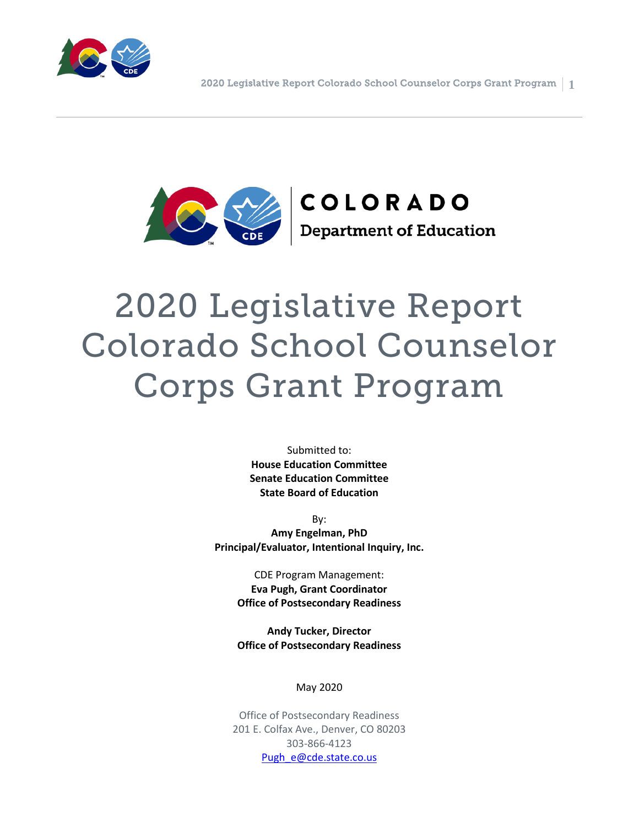



# 2020 Legislative Report Colorado School Counselor Corps Grant Program

Submitted to: **House Education Committee Senate Education Committee State Board of Education**

By: **Amy Engelman, PhD Principal/Evaluator, Intentional Inquiry, Inc.**

> CDE Program Management: **Eva Pugh, Grant Coordinator Office of Postsecondary Readiness**

> **Andy Tucker, Director Office of Postsecondary Readiness**

> > May 2020

Office of Postsecondary Readiness 201 E. Colfax Ave., Denver, CO 80203 303-866-4123 [Pugh\\_e@cde.state.co.us](mailto:Pugh_e@cde.state.co.us)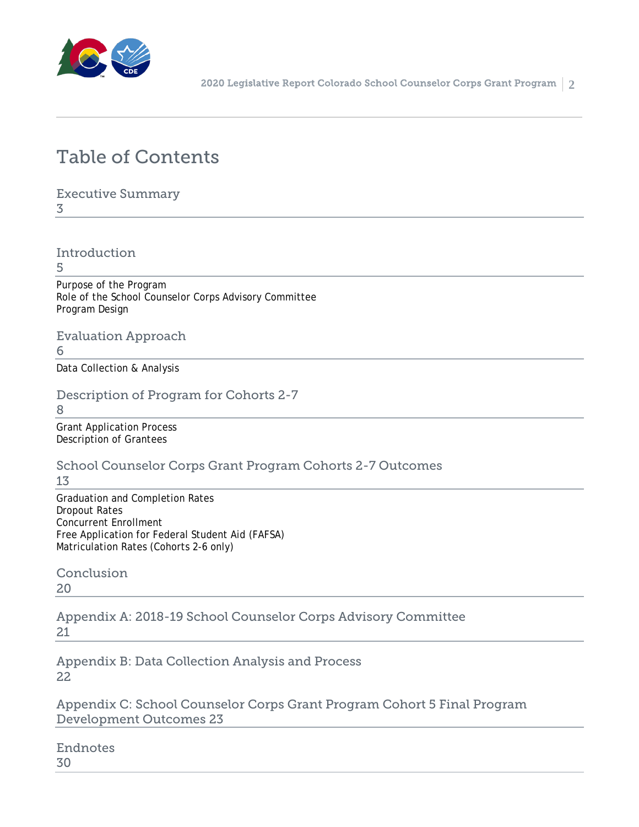

## Table of Contents

Executive Summary

3

Introduction

5

Purpose of the Program Role of the School Counselor Corps Advisory Committee Program Design

Evaluation Approach

6

Data Collection & Analysis

Description of Program for Cohorts 2-7

8

Grant Application Process Description of Grantees

School Counselor Corps Grant Program Cohorts 2-7 Outcomes

13

Graduation and Completion Rates Dropout Rates Concurrent Enrollment Free Application for Federal Student Aid (FAFSA) Matriculation Rates (Cohorts 2-6 only)

Conclusion 20

Appendix A: 2018-19 School Counselor Corps Advisory Committee 21

Appendix B: Data Collection Analysis and Process 22

Appendix C: School Counselor Corps Grant Program Cohort 5 Final Program Development Outcomes 23

Endnotes 30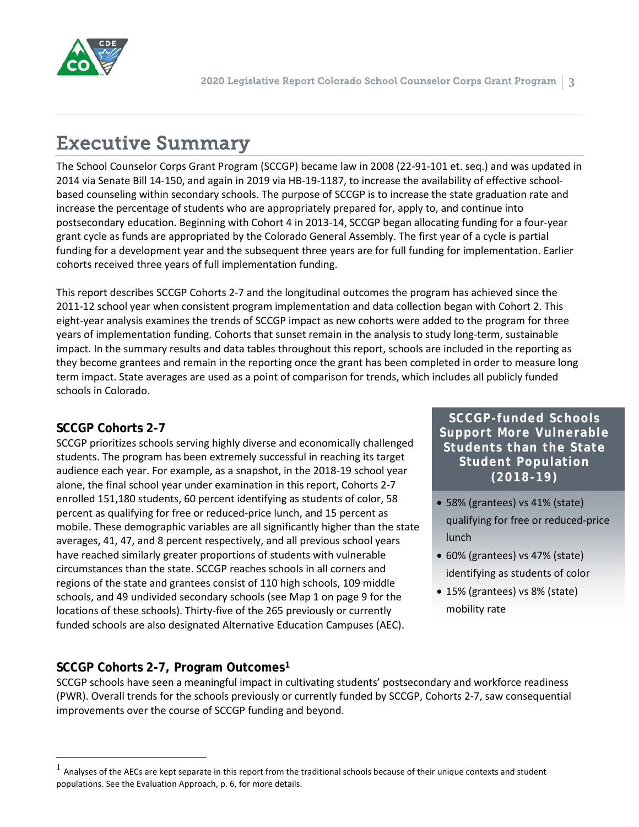

# Executive Summary

The School Counselor Corps Grant Program (SCCGP) became law in 2008 (22-91-101 et. seq.) and was updated in 2014 via Senate Bill 14-150, and again in 2019 via HB-19-1187, to increase the availability of effective schoolbased counseling within secondary schools. The purpose of SCCGP is to increase the state graduation rate and increase the percentage of students who are appropriately prepared for, apply to, and continue into postsecondary education. Beginning with Cohort 4 in 2013-14, SCCGP began allocating funding for a four-year grant cycle as funds are appropriated by the Colorado General Assembly. The first year of a cycle is partial funding for a development year and the subsequent three years are for full funding for implementation. Earlier cohorts received three years of full implementation funding.

This report describes SCCGP Cohorts 2-7 and the longitudinal outcomes the program has achieved since the 2011-12 school year when consistent program implementation and data collection began with Cohort 2. This eight-year analysis examines the trends of SCCGP impact as new cohorts were added to the program for three years of implementation funding. Cohorts that sunset remain in the analysis to study long-term, sustainable impact. In the summary results and data tables throughout this report, schools are included in the reporting as they become grantees and remain in the reporting once the grant has been completed in order to measure long term impact. State averages are used as a point of comparison for trends, which includes all publicly funded schools in Colorado.

#### **SCCGP Cohorts 2-7**

SCCGP prioritizes schools serving highly diverse and economically challenged students. The program has been extremely successful in reaching its target audience each year. For example, as a snapshot, in the 2018-19 school year alone, the final school year under examination in this report, Cohorts 2-7 enrolled 151,180 students, 60 percent identifying as students of color, 58 percent as qualifying for free or reduced-price lunch, and 15 percent as mobile. These demographic variables are all significantly higher than the state averages, 41, 47, and 8 percent respectively, and all previous school years have reached similarly greater proportions of students with vulnerable circumstances than the state. SCCGP reaches schools in all corners and regions of the state and grantees consist of 110 high schools, 109 middle schools, and 49 undivided secondary schools (see Map 1 on page 9 for the locations of these schools). Thirty-five of the 265 previously or currently funded schools are also designated Alternative Education Campuses (AEC).

**SCCGP Cohorts 2-7, Program Outcomes[1](#page-2-0)**

SCCGP schools have seen a meaningful impact in cultivating students' postsecondary and workforce readiness (PWR). Overall trends for the schools previously or currently funded by SCCGP, Cohorts 2-7, saw consequential improvements over the course of SCCGP funding and beyond.

**SCCGP-funded Schools Support More Vulnerable Students than the State Student Population (2018-19)** 

- 58% (grantees) vs 41% (state) qualifying for free or reduced-price lunch
- 60% (grantees) vs 47% (state) identifying as students of color
- 15% (grantees) vs 8% (state) mobility rate

<span id="page-2-0"></span> <sup>1</sup> Analyses of the AECs are kept separate in this report from the traditional schools because of their unique contexts and student populations. See the Evaluation Approach, p. 6, for more details.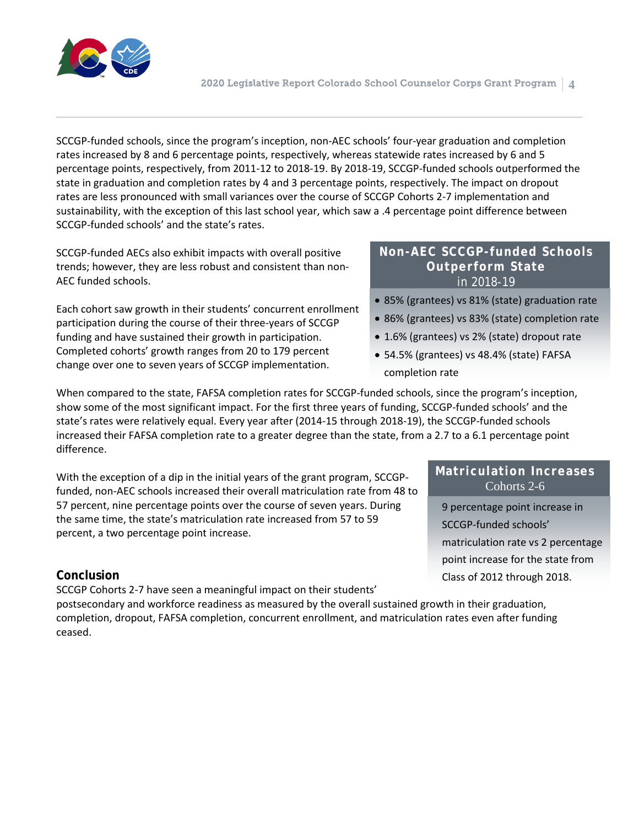

SCCGP-funded schools, since the program's inception, non-AEC schools' four-year graduation and completion rates increased by 8 and 6 percentage points, respectively, whereas statewide rates increased by 6 and 5 percentage points, respectively, from 2011-12 to 2018-19. By 2018-19, SCCGP-funded schools outperformed the state in graduation and completion rates by 4 and 3 percentage points, respectively. The impact on dropout rates are less pronounced with small variances over the course of SCCGP Cohorts 2-7 implementation and sustainability, with the exception of this last school year, which saw a .4 percentage point difference between SCCGP-funded schools' and the state's rates.

SCCGP-funded AECs also exhibit impacts with overall positive trends; however, they are less robust and consistent than non-AEC funded schools.

Each cohort saw growth in their students' concurrent enrollment participation during the course of their three-years of SCCGP funding and have sustained their growth in participation. Completed cohorts' growth ranges from 20 to 179 percent change over one to seven years of SCCGP implementation.

#### **Non-AEC SCCGP-funded Schools Outperform State**  in 2018-19

- 85% (grantees) vs 81% (state) graduation rate
- 86% (grantees) vs 83% (state) completion rate
- 1.6% (grantees) vs 2% (state) dropout rate
- 54.5% (grantees) vs 48.4% (state) FAFSA completion rate

When compared to the state, FAFSA completion rates for SCCGP-funded schools, since the program's inception, show some of the most significant impact. For the first three years of funding, SCCGP-funded schools' and the state's rates were relatively equal. Every year after (2014-15 through 2018-19), the SCCGP-funded schools increased their FAFSA completion rate to a greater degree than the state, from a 2.7 to a 6.1 percentage point difference.

With the exception of a dip in the initial years of the grant program, SCCGPfunded, non-AEC schools increased their overall matriculation rate from 48 to 57 percent, nine percentage points over the course of seven years. During the same time, the state's matriculation rate increased from 57 to 59 percent, a two percentage point increase.

#### **Conclusion**

SCCGP Cohorts 2-7 have seen a meaningful impact on their students'

postsecondary and workforce readiness as measured by the overall sustained growth in their graduation, completion, dropout, FAFSA completion, concurrent enrollment, and matriculation rates even after funding ceased.

#### **Matriculation Increases** Cohorts 2-6

9 percentage point increase in SCCGP-funded schools' matriculation rate vs 2 percentage point increase for the state from Class of 2012 through 2018.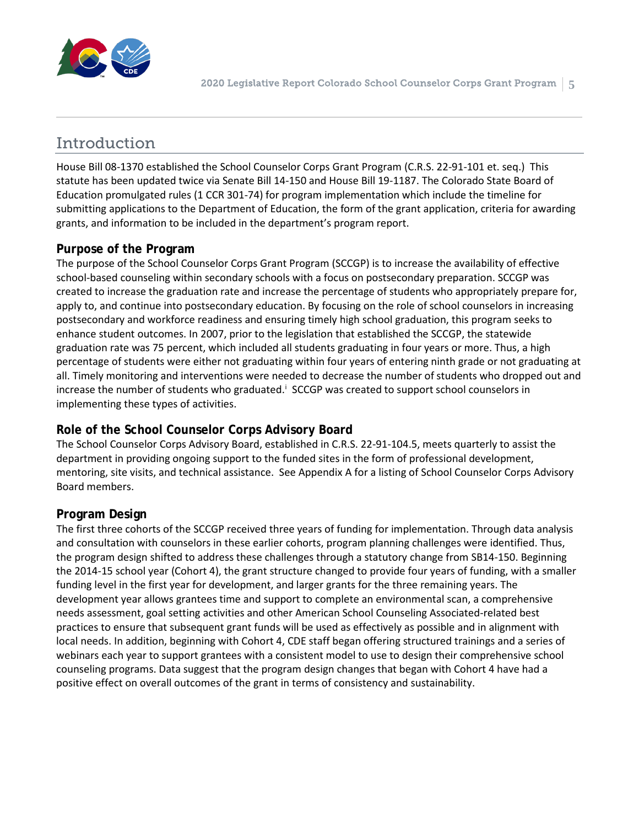

### Introduction

House Bill 08-1370 established the School Counselor Corps Grant Program (C.R.S. 22-91-101 et. seq.) This statute has been updated twice via Senate Bill 14-150 and House Bill 19-1187. The Colorado State Board of Education promulgated rules (1 CCR 301-74) for program implementation which include the timeline for submitting applications to the Department of Education, the form of the grant application, criteria for awarding grants, and information to be included in the department's program report.

#### **Purpose of the Program**

The purpose of the School Counselor Corps Grant Program (SCCGP) is to increase the availability of effective school-based counseling within secondary schools with a focus on postsecondary preparation. SCCGP was created to increase the graduation rate and increase the percentage of students who appropriately prepare for, apply to, and continue into postsecondary education. By focusing on the role of school counselors in increasing postsecondary and workforce readiness and ensuring timely high school graduation, this program seeks to enhance student outcomes. In 2007, prior to the legislation that established the SCCGP, the statewide graduation rate was 75 percent, which included all students graduating in four years or more. Thus, a high percentage of students were either not graduating within four years of entering ninth grade or not graduating at all. Timely monitoring and interventions were needed to decrease the number of students who dropped out and [i](#page-29-0)ncrease the number of students who graduated.<sup>1</sup> SCCGP was created to support school counselors in implementing these types of activities.

#### **Role of the School Counselor Corps Advisory Board**

The School Counselor Corps Advisory Board, established in C.R.S. 22-91-104.5, meets quarterly to assist the department in providing ongoing support to the funded sites in the form of professional development, mentoring, site visits, and technical assistance. See Appendix A for a listing of School Counselor Corps Advisory Board members.

#### **Program Design**

The first three cohorts of the SCCGP received three years of funding for implementation. Through data analysis and consultation with counselors in these earlier cohorts, program planning challenges were identified. Thus, the program design shifted to address these challenges through a statutory change from SB14-150. Beginning the 2014-15 school year (Cohort 4), the grant structure changed to provide four years of funding, with a smaller funding level in the first year for development, and larger grants for the three remaining years. The development year allows grantees time and support to complete an environmental scan, a comprehensive needs assessment, goal setting activities and other American School Counseling Associated-related best practices to ensure that subsequent grant funds will be used as effectively as possible and in alignment with local needs. In addition, beginning with Cohort 4, CDE staff began offering structured trainings and a series of webinars each year to support grantees with a consistent model to use to design their comprehensive school counseling programs. Data suggest that the program design changes that began with Cohort 4 have had a positive effect on overall outcomes of the grant in terms of consistency and sustainability.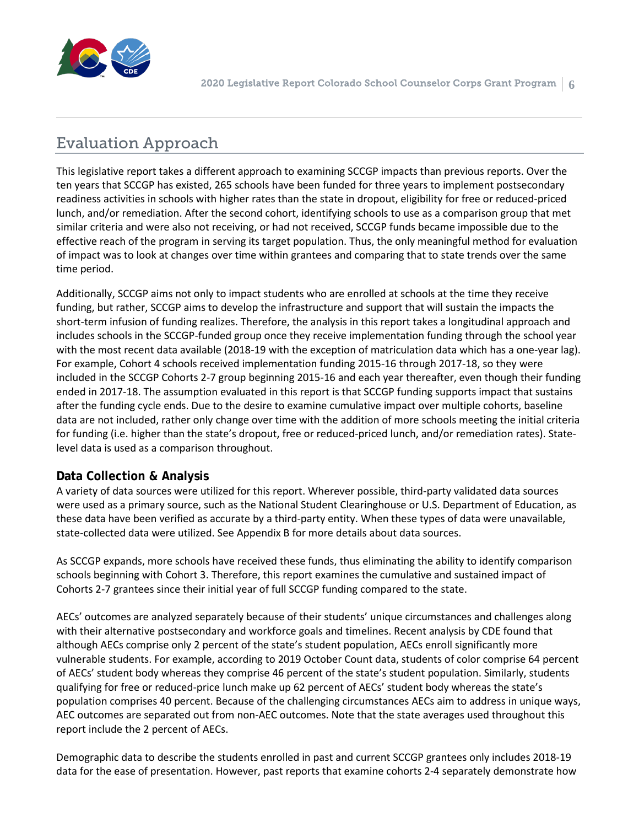

## Evaluation Approach

This legislative report takes a different approach to examining SCCGP impacts than previous reports. Over the ten years that SCCGP has existed, 265 schools have been funded for three years to implement postsecondary readiness activities in schools with higher rates than the state in dropout, eligibility for free or reduced-priced lunch, and/or remediation. After the second cohort, identifying schools to use as a comparison group that met similar criteria and were also not receiving, or had not received, SCCGP funds became impossible due to the effective reach of the program in serving its target population. Thus, the only meaningful method for evaluation of impact was to look at changes over time within grantees and comparing that to state trends over the same time period.

Additionally, SCCGP aims not only to impact students who are enrolled at schools at the time they receive funding, but rather, SCCGP aims to develop the infrastructure and support that will sustain the impacts the short-term infusion of funding realizes. Therefore, the analysis in this report takes a longitudinal approach and includes schools in the SCCGP-funded group once they receive implementation funding through the school year with the most recent data available (2018-19 with the exception of matriculation data which has a one-year lag). For example, Cohort 4 schools received implementation funding 2015-16 through 2017-18, so they were included in the SCCGP Cohorts 2-7 group beginning 2015-16 and each year thereafter, even though their funding ended in 2017-18. The assumption evaluated in this report is that SCCGP funding supports impact that sustains after the funding cycle ends. Due to the desire to examine cumulative impact over multiple cohorts, baseline data are not included, rather only change over time with the addition of more schools meeting the initial criteria for funding (i.e. higher than the state's dropout, free or reduced-priced lunch, and/or remediation rates). Statelevel data is used as a comparison throughout.

#### **Data Collection & Analysis**

A variety of data sources were utilized for this report. Wherever possible, third-party validated data sources were used as a primary source, such as the National Student Clearinghouse or U.S. Department of Education, as these data have been verified as accurate by a third-party entity. When these types of data were unavailable, state-collected data were utilized. See Appendix B for more details about data sources.

As SCCGP expands, more schools have received these funds, thus eliminating the ability to identify comparison schools beginning with Cohort 3. Therefore, this report examines the cumulative and sustained impact of Cohorts 2-7 grantees since their initial year of full SCCGP funding compared to the state.

AECs' outcomes are analyzed separately because of their students' unique circumstances and challenges along with their alternative postsecondary and workforce goals and timelines. Recent analysis by CDE found that although AECs comprise only 2 percent of the state's student population, AECs enroll significantly more vulnerable students. For example, according to 2019 October Count data, students of color comprise 64 percent of AECs' student body whereas they comprise 46 percent of the state's student population. Similarly, students qualifying for free or reduced-price lunch make up 62 percent of AECs' student body whereas the state's population comprises 40 percent. Because of the challenging circumstances AECs aim to address in unique ways, AEC outcomes are separated out from non-AEC outcomes. Note that the state averages used throughout this report include the 2 percent of AECs.

Demographic data to describe the students enrolled in past and current SCCGP grantees only includes 2018-19 data for the ease of presentation. However, past reports that examine cohorts 2-4 separately demonstrate how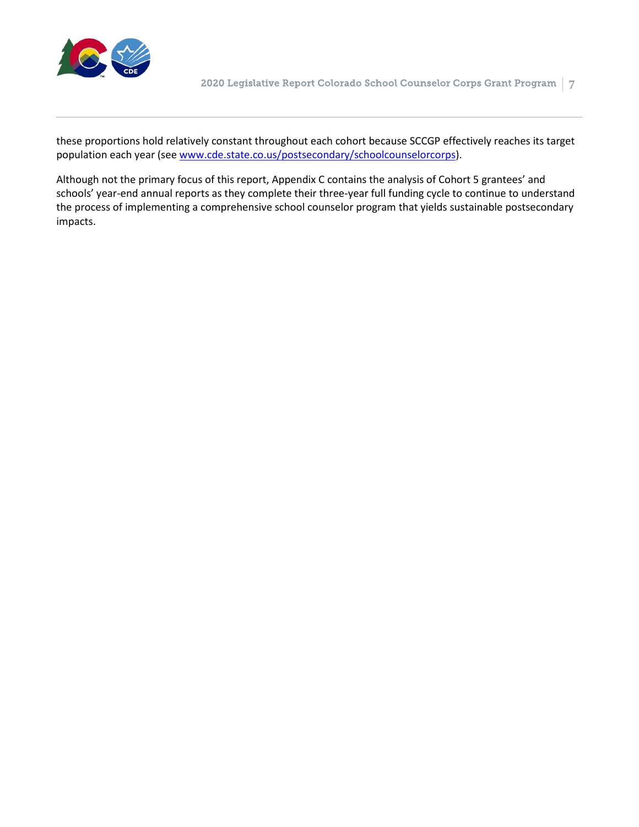

these proportions hold relatively constant throughout each cohort because SCCGP effectively reaches its target population each year (see [www.cde.state.co.us/postsecondary/schoolcounselorcorps\)](http://www.cde.state.co.us/postsecondary/schoolcounselorcorps).

Although not the primary focus of this report, Appendix C contains the analysis of Cohort 5 grantees' and schools' year-end annual reports as they complete their three-year full funding cycle to continue to understand the process of implementing a comprehensive school counselor program that yields sustainable postsecondary impacts.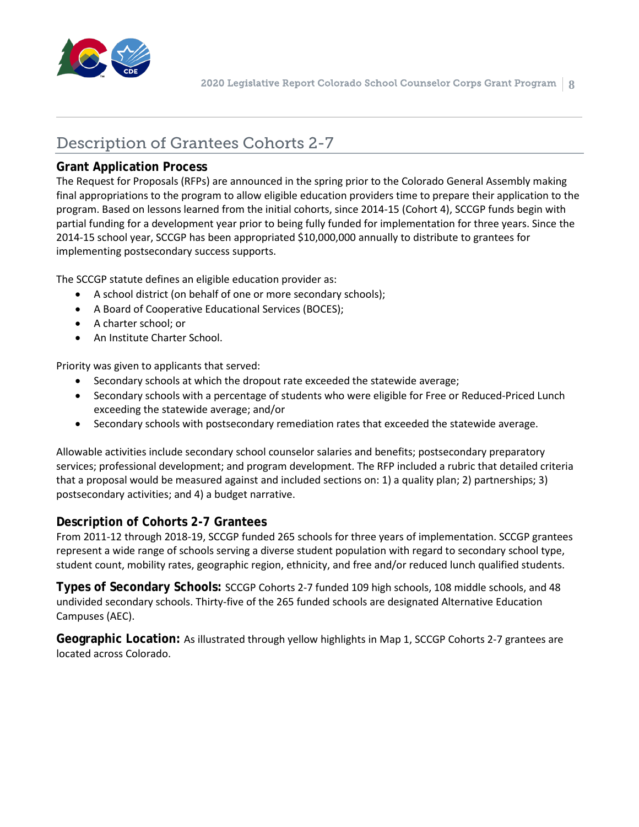

## Description of Grantees Cohorts 2-7

#### **Grant Application Process**

The Request for Proposals (RFPs) are announced in the spring prior to the Colorado General Assembly making final appropriations to the program to allow eligible education providers time to prepare their application to the program. Based on lessons learned from the initial cohorts, since 2014-15 (Cohort 4), SCCGP funds begin with partial funding for a development year prior to being fully funded for implementation for three years. Since the 2014-15 school year, SCCGP has been appropriated \$10,000,000 annually to distribute to grantees for implementing postsecondary success supports.

The SCCGP statute defines an eligible education provider as:

- A school district (on behalf of one or more secondary schools);
- A Board of Cooperative Educational Services (BOCES);
- A charter school; or
- An Institute Charter School.

Priority was given to applicants that served:

- Secondary schools at which the dropout rate exceeded the statewide average;
- Secondary schools with a percentage of students who were eligible for Free or Reduced-Priced Lunch exceeding the statewide average; and/or
- Secondary schools with postsecondary remediation rates that exceeded the statewide average.

Allowable activities include secondary school counselor salaries and benefits; postsecondary preparatory services; professional development; and program development. The RFP included a rubric that detailed criteria that a proposal would be measured against and included sections on: 1) a quality plan; 2) partnerships; 3) postsecondary activities; and 4) a budget narrative.

#### **Description of Cohorts 2-7 Grantees**

From 2011-12 through 2018-19, SCCGP funded 265 schools for three years of implementation. SCCGP grantees represent a wide range of schools serving a diverse student population with regard to secondary school type, student count, mobility rates, geographic region, ethnicity, and free and/or reduced lunch qualified students.

**Types of Secondary Schools:** SCCGP Cohorts 2-7 funded 109 high schools, 108 middle schools, and 48 undivided secondary schools. Thirty-five of the 265 funded schools are designated Alternative Education Campuses (AEC).

**Geographic Location:** As illustrated through yellow highlights in Map 1, SCCGP Cohorts 2-7 grantees are located across Colorado.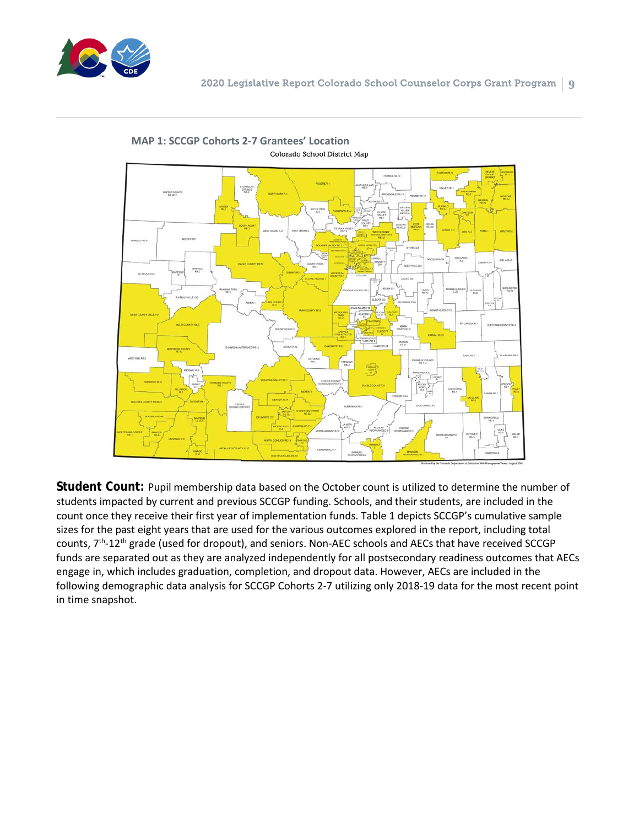



**MAP 1: SCCGP Cohorts 2-7 Grantees' Location** Colorado School District Map

**Student Count:** Pupil membership data based on the October count is utilized to determine the number of students impacted by current and previous SCCGP funding. Schools, and their students, are included in the count once they receive their first year of implementation funds. Table 1 depicts SCCGP's cumulative sample sizes for the past eight years that are used for the various outcomes explored in the report, including total counts, 7th-12th grade (used for dropout), and seniors. Non-AEC schools and AECs that have received SCCGP funds are separated out as they are analyzed independently for all postsecondary readiness outcomes that AECs engage in, which includes graduation, completion, and dropout data. However, AECs are included in the following demographic data analysis for SCCGP Cohorts 2-7 utilizing only 2018-19 data for the most recent point in time snapshot.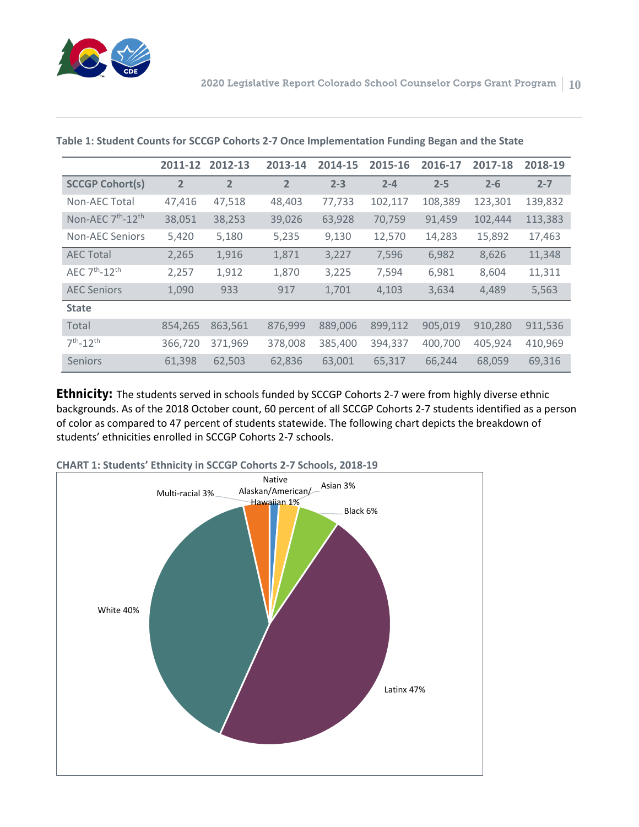

|                                           | 2011-12        | 2012-13        | 2013-14        | 2014-15 | 2015-16 | 2016-17 | 2017-18 | 2018-19 |
|-------------------------------------------|----------------|----------------|----------------|---------|---------|---------|---------|---------|
| <b>SCCGP Cohort(s)</b>                    | $\overline{2}$ | $\overline{2}$ | $\overline{2}$ | $2 - 3$ | $2 - 4$ | $2 - 5$ | $2 - 6$ | $2 - 7$ |
| Non-AEC Total                             | 47,416         | 47,518         | 48,403         | 77,733  | 102,117 | 108,389 | 123,301 | 139,832 |
| Non-AEC 7 <sup>th</sup> -12 <sup>th</sup> | 38,051         | 38,253         | 39,026         | 63,928  | 70,759  | 91,459  | 102,444 | 113,383 |
| <b>Non-AEC Seniors</b>                    | 5,420          | 5,180          | 5,235          | 9,130   | 12,570  | 14,283  | 15,892  | 17,463  |
| <b>AEC Total</b>                          | 2,265          | 1,916          | 1,871          | 3,227   | 7,596   | 6,982   | 8,626   | 11,348  |
| AEC $7th - 12th$                          | 2,257          | 1,912          | 1,870          | 3,225   | 7,594   | 6,981   | 8,604   | 11,311  |
| <b>AEC Seniors</b>                        | 1,090          | 933            | 917            | 1,701   | 4,103   | 3,634   | 4,489   | 5,563   |
| <b>State</b>                              |                |                |                |         |         |         |         |         |
| Total                                     | 854,265        | 863,561        | 876,999        | 889,006 | 899,112 | 905,019 | 910,280 | 911,536 |
| $7^{th} - 12^{th}$                        | 366,720        | 371,969        | 378,008        | 385,400 | 394,337 | 400,700 | 405,924 | 410,969 |
| Seniors                                   | 61,398         | 62,503         | 62,836         | 63,001  | 65,317  | 66,244  | 68,059  | 69,316  |

**Table 1: Student Counts for SCCGP Cohorts 2-7 Once Implementation Funding Began and the State**

**Ethnicity:** The students served in schools funded by SCCGP Cohorts 2-7 were from highly diverse ethnic backgrounds. As of the 2018 October count, 60 percent of all SCCGP Cohorts 2-7 students identified as a person of color as compared to 47 percent of students statewide. The following chart depicts the breakdown of students' ethnicities enrolled in SCCGP Cohorts 2-7 schools.



**CHART 1: Students' Ethnicity in SCCGP Cohorts 2-7 Schools, 2018-19**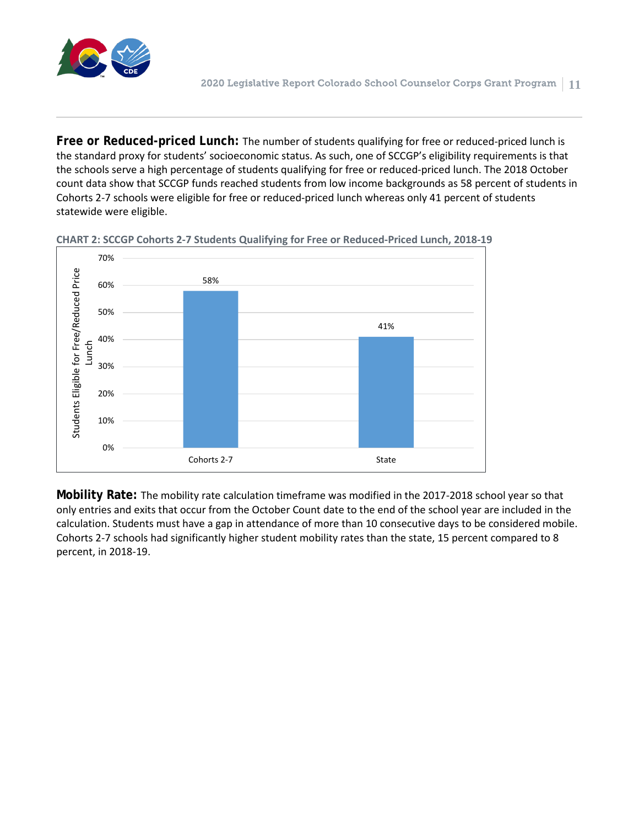

**Free or Reduced-priced Lunch:** The number of students qualifying for free or reduced-priced lunch is the standard proxy for students' socioeconomic status. As such, one of SCCGP's eligibility requirements is that the schools serve a high percentage of students qualifying for free or reduced-priced lunch. The 2018 October count data show that SCCGP funds reached students from low income backgrounds as 58 percent of students in Cohorts 2-7 schools were eligible for free or reduced-priced lunch whereas only 41 percent of students statewide were eligible.



**CHART 2: SCCGP Cohorts 2-7 Students Qualifying for Free or Reduced-Priced Lunch, 2018-19**

**Mobility Rate:** The mobility rate calculation timeframe was modified in the 2017-2018 school year so that only entries and exits that occur from the October Count date to the end of the school year are included in the calculation. Students must have a gap in attendance of more than 10 consecutive days to be considered mobile. Cohorts 2-7 schools had significantly higher student mobility rates than the state, 15 percent compared to 8 percent, in 2018-19.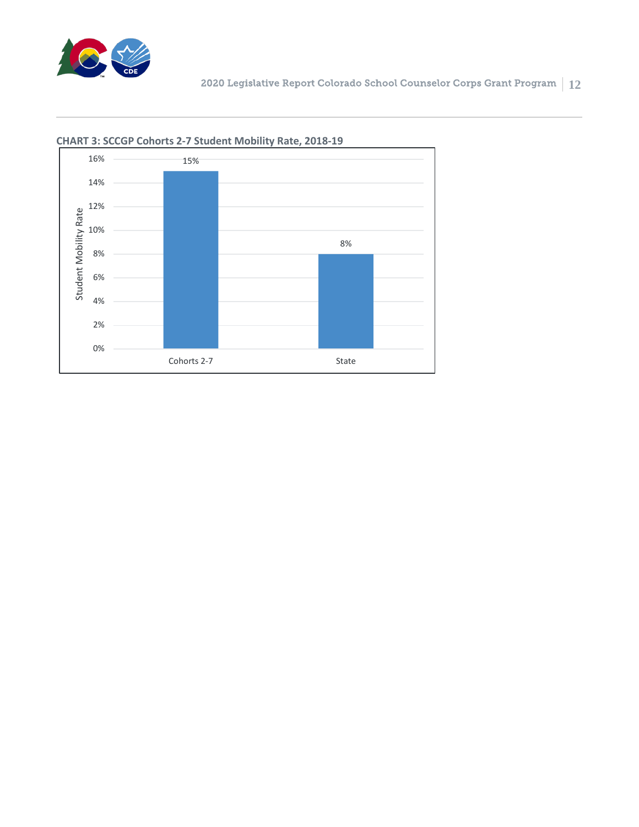



#### **CHART 3: SCCGP Cohorts 2-7 Student Mobility Rate, 2018-19**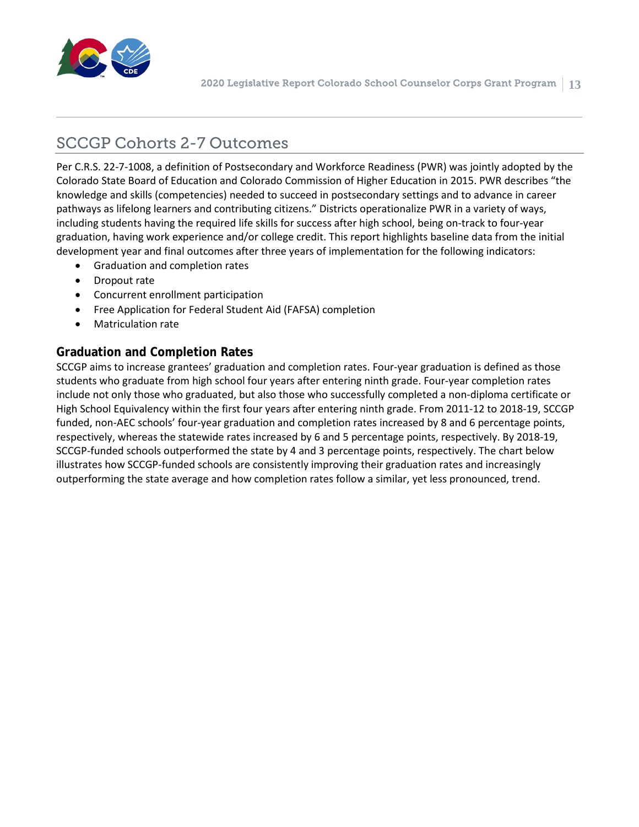

## SCCGP Cohorts 2-7 Outcomes

Per C.R.S. 22-7-1008, a definition of Postsecondary and Workforce Readiness (PWR) was jointly adopted by the Colorado State Board of Education and Colorado Commission of Higher Education in 2015. PWR describes "the knowledge and skills (competencies) needed to succeed in postsecondary settings and to advance in career pathways as lifelong learners and contributing citizens." Districts operationalize PWR in a variety of ways, including students having the required life skills for success after high school, being on-track to four-year graduation, having work experience and/or college credit. This report highlights baseline data from the initial development year and final outcomes after three years of implementation for the following indicators:

- Graduation and completion rates
- Dropout rate
- Concurrent enrollment participation
- Free Application for Federal Student Aid (FAFSA) completion
- Matriculation rate

#### **Graduation and Completion Rates**

SCCGP aims to increase grantees' graduation and completion rates. Four-year graduation is defined as those students who graduate from high school four years after entering ninth grade. Four-year completion rates include not only those who graduated, but also those who successfully completed a non-diploma certificate or High School Equivalency within the first four years after entering ninth grade. From 2011-12 to 2018-19, SCCGP funded, non-AEC schools' four-year graduation and completion rates increased by 8 and 6 percentage points, respectively, whereas the statewide rates increased by 6 and 5 percentage points, respectively. By 2018-19, SCCGP-funded schools outperformed the state by 4 and 3 percentage points, respectively. The chart below illustrates how SCCGP-funded schools are consistently improving their graduation rates and increasingly outperforming the state average and how completion rates follow a similar, yet less pronounced, trend.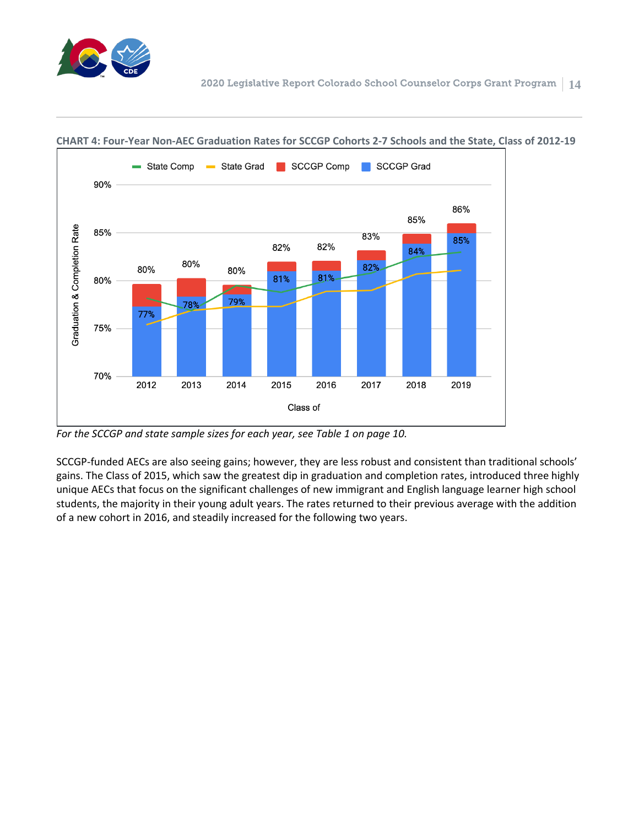



#### **CHART 4: Four-Year Non-AEC Graduation Rates for SCCGP Cohorts 2-7 Schools and the State, Class of 2012-19**

*For the SCCGP and state sample sizes for each year, see Table 1 on page 10.*

SCCGP-funded AECs are also seeing gains; however, they are less robust and consistent than traditional schools' gains. The Class of 2015, which saw the greatest dip in graduation and completion rates, introduced three highly unique AECs that focus on the significant challenges of new immigrant and English language learner high school students, the majority in their young adult years. The rates returned to their previous average with the addition of a new cohort in 2016, and steadily increased for the following two years.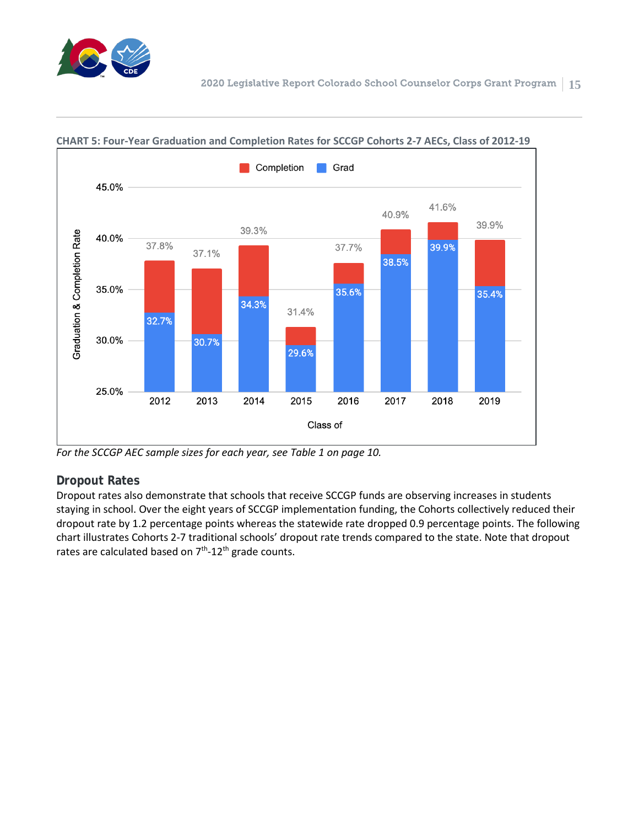



#### **CHART 5: Four-Year Graduation and Completion Rates for SCCGP Cohorts 2-7 AECs, Class of 2012-19**

*For the SCCGP AEC sample sizes for each year, see Table 1 on page 10.*

#### **Dropout Rates**

Dropout rates also demonstrate that schools that receive SCCGP funds are observing increases in students staying in school. Over the eight years of SCCGP implementation funding, the Cohorts collectively reduced their dropout rate by 1.2 percentage points whereas the statewide rate dropped 0.9 percentage points. The following chart illustrates Cohorts 2-7 traditional schools' dropout rate trends compared to the state. Note that dropout rates are calculated based on  $7<sup>th</sup>$ -12<sup>th</sup> grade counts.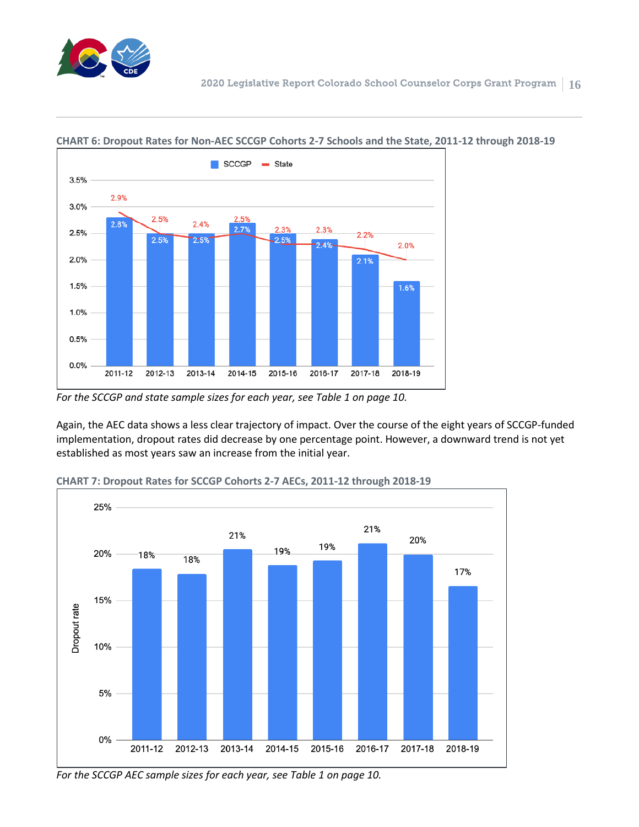



#### **CHART 6: Dropout Rates for Non-AEC SCCGP Cohorts 2-7 Schools and the State, 2011-12 through 2018-19**

*For the SCCGP and state sample sizes for each year, see Table 1 on page 10.*

Again, the AEC data shows a less clear trajectory of impact. Over the course of the eight years of SCCGP-funded implementation, dropout rates did decrease by one percentage point. However, a downward trend is not yet established as most years saw an increase from the initial year.



**CHART 7: Dropout Rates for SCCGP Cohorts 2-7 AECs, 2011-12 through 2018-19**

*For the SCCGP AEC sample sizes for each year, see Table 1 on page 10.*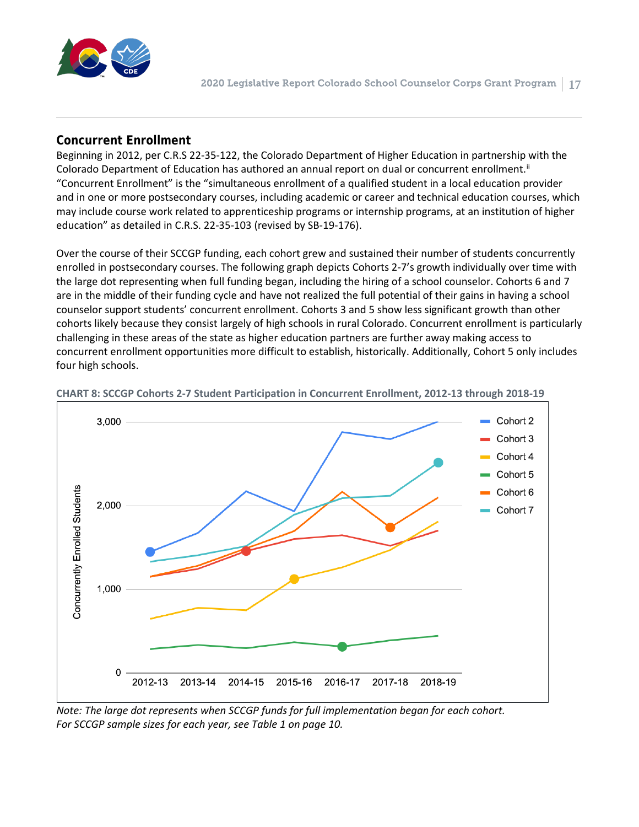

#### **Concurrent Enrollment**

Beginning in 2012, per C.R.S 22-35-122, the Colorado Department of Higher Education in partnership with the Colorado Department of Education has authored an annual report on dual or concurrent enrollment.<sup>[ii](#page-29-1)</sup> "Concurrent Enrollment" is the "simultaneous enrollment of a qualified student in a local education provider and in one or more postsecondary courses, including academic or career and technical education courses, which may include course work related to apprenticeship programs or internship programs, at an institution of higher education" as detailed in C.R.S. 22-35-103 (revised by SB-19-176).

Over the course of their SCCGP funding, each cohort grew and sustained their number of students concurrently enrolled in postsecondary courses. The following graph depicts Cohorts 2-7's growth individually over time with the large dot representing when full funding began, including the hiring of a school counselor. Cohorts 6 and 7 are in the middle of their funding cycle and have not realized the full potential of their gains in having a school counselor support students' concurrent enrollment. Cohorts 3 and 5 show less significant growth than other cohorts likely because they consist largely of high schools in rural Colorado. Concurrent enrollment is particularly challenging in these areas of the state as higher education partners are further away making access to concurrent enrollment opportunities more difficult to establish, historically. Additionally, Cohort 5 only includes four high schools.



**CHART 8: SCCGP Cohorts 2-7 Student Participation in Concurrent Enrollment, 2012-13 through 2018-19**

*Note: The large dot represents when SCCGP funds for full implementation began for each cohort. For SCCGP sample sizes for each year, see Table 1 on page 10.*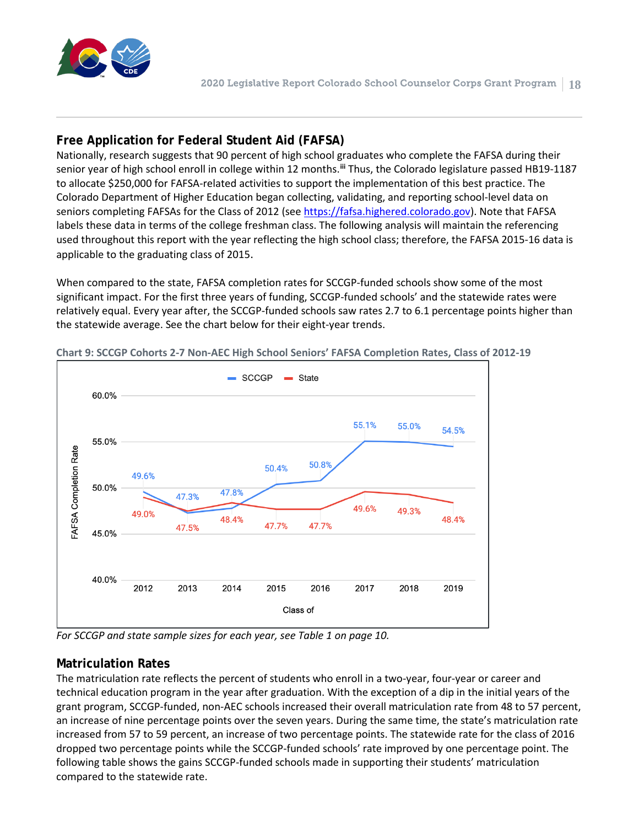

#### **Free Application for Federal Student Aid (FAFSA)**

Nationally, research suggests that 90 percent of high school graduates who complete the FAFSA during their senior year of high school enroll in college within 12 months. **[iii](#page-29-2)** Thus, the Colorado legislature passed HB19-1187 to allocate \$250,000 for FAFSA-related activities to support the implementation of this best practice. The Colorado Department of Higher Education began collecting, validating, and reporting school-level data on seniors completing FAFSAs for the Class of 2012 (see [https://fafsa.highered.colorado.gov\)](https://fafsa.highered.colorado.gov/). Note that FAFSA labels these data in terms of the college freshman class. The following analysis will maintain the referencing used throughout this report with the year reflecting the high school class; therefore, the FAFSA 2015-16 data is applicable to the graduating class of 2015.

When compared to the state, FAFSA completion rates for SCCGP-funded schools show some of the most significant impact. For the first three years of funding, SCCGP-funded schools' and the statewide rates were relatively equal. Every year after, the SCCGP-funded schools saw rates 2.7 to 6.1 percentage points higher than the statewide average. See the chart below for their eight-year trends.



**Chart 9: SCCGP Cohorts 2-7 Non-AEC High School Seniors' FAFSA Completion Rates, Class of 2012-19**

*For SCCGP and state sample sizes for each year, see Table 1 on page 10.*

#### **Matriculation Rates**

The matriculation rate reflects the percent of students who enroll in a two-year, four-year or career and technical education program in the year after graduation. With the exception of a dip in the initial years of the grant program, SCCGP-funded, non-AEC schools increased their overall matriculation rate from 48 to 57 percent, an increase of nine percentage points over the seven years. During the same time, the state's matriculation rate increased from 57 to 59 percent, an increase of two percentage points. The statewide rate for the class of 2016 dropped two percentage points while the SCCGP-funded schools' rate improved by one percentage point. The following table shows the gains SCCGP-funded schools made in supporting their students' matriculation compared to the statewide rate.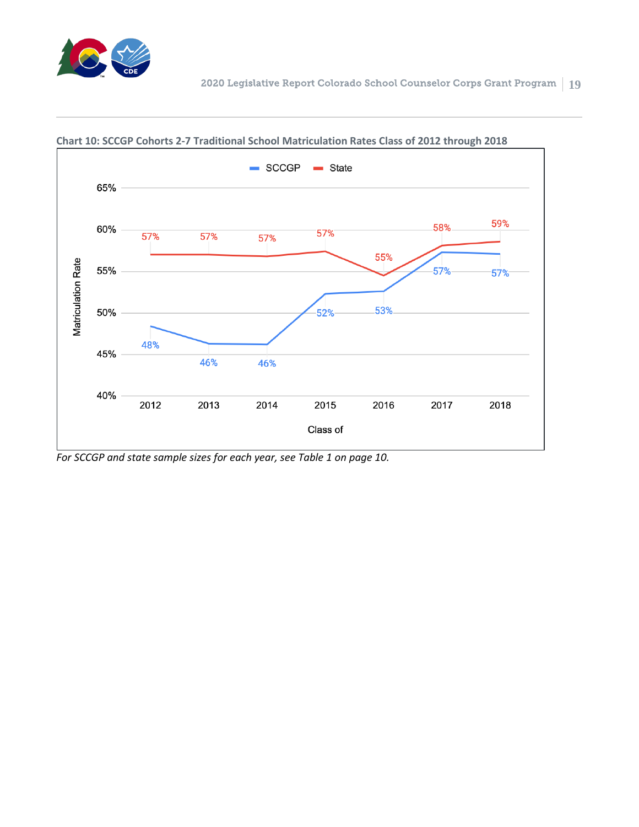



#### **Chart 10: SCCGP Cohorts 2-7 Traditional School Matriculation Rates Class of 2012 through 2018**

*For SCCGP and state sample sizes for each year, see Table 1 on page 10.*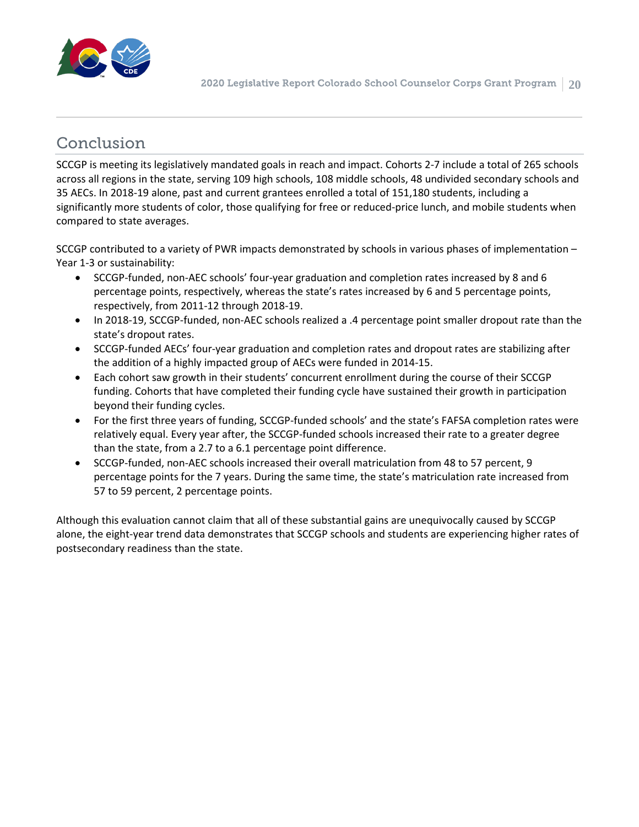

## Conclusion

SCCGP is meeting its legislatively mandated goals in reach and impact. Cohorts 2-7 include a total of 265 schools across all regions in the state, serving 109 high schools, 108 middle schools, 48 undivided secondary schools and 35 AECs. In 2018-19 alone, past and current grantees enrolled a total of 151,180 students, including a significantly more students of color, those qualifying for free or reduced-price lunch, and mobile students when compared to state averages.

SCCGP contributed to a variety of PWR impacts demonstrated by schools in various phases of implementation – Year 1-3 or sustainability:

- SCCGP-funded, non-AEC schools' four-year graduation and completion rates increased by 8 and 6 percentage points, respectively, whereas the state's rates increased by 6 and 5 percentage points, respectively, from 2011-12 through 2018-19.
- In 2018-19, SCCGP-funded, non-AEC schools realized a .4 percentage point smaller dropout rate than the state's dropout rates.
- SCCGP-funded AECs' four-year graduation and completion rates and dropout rates are stabilizing after the addition of a highly impacted group of AECs were funded in 2014-15.
- Each cohort saw growth in their students' concurrent enrollment during the course of their SCCGP funding. Cohorts that have completed their funding cycle have sustained their growth in participation beyond their funding cycles.
- For the first three years of funding, SCCGP-funded schools' and the state's FAFSA completion rates were relatively equal. Every year after, the SCCGP-funded schools increased their rate to a greater degree than the state, from a 2.7 to a 6.1 percentage point difference.
- SCCGP-funded, non-AEC schools increased their overall matriculation from 48 to 57 percent, 9 percentage points for the 7 years. During the same time, the state's matriculation rate increased from 57 to 59 percent, 2 percentage points.

Although this evaluation cannot claim that all of these substantial gains are unequivocally caused by SCCGP alone, the eight-year trend data demonstrates that SCCGP schools and students are experiencing higher rates of postsecondary readiness than the state.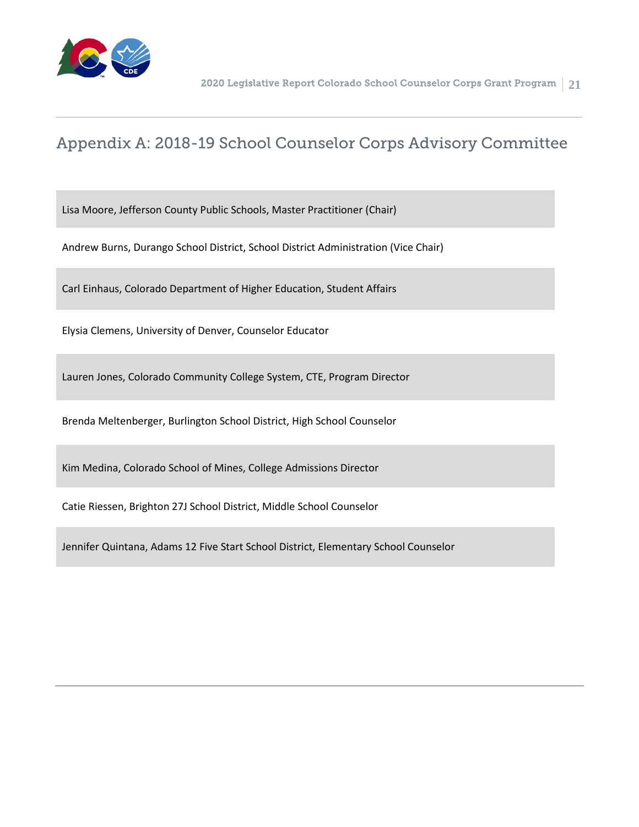

## Appendix A: 2018-19 School Counselor Corps Advisory Committee

Lisa Moore, Jefferson County Public Schools, Master Practitioner (Chair)

Andrew Burns, Durango School District, School District Administration (Vice Chair)

Carl Einhaus, Colorado Department of Higher Education, Student Affairs

Elysia Clemens, University of Denver, Counselor Educator

Lauren Jones, Colorado Community College System, CTE, Program Director

Brenda Meltenberger, Burlington School District, High School Counselor

Kim Medina, Colorado School of Mines, College Admissions Director

Catie Riessen, Brighton 27J School District, Middle School Counselor

Jennifer Quintana, Adams 12 Five Start School District, Elementary School Counselor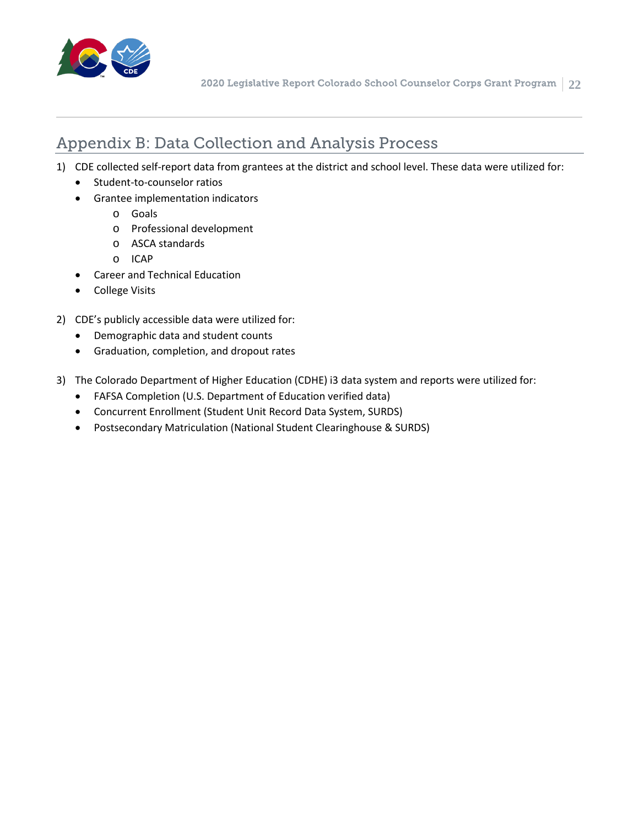

## Appendix B: Data Collection and Analysis Process

- 1) CDE collected self-report data from grantees at the district and school level. These data were utilized for:
	- Student-to-counselor ratios
	- Grantee implementation indicators
		- o Goals
		- o Professional development
		- o ASCA standards
		- o ICAP
	- Career and Technical Education
	- College Visits
- 2) CDE's publicly accessible data were utilized for:
	- Demographic data and student counts
	- Graduation, completion, and dropout rates
- 3) The Colorado Department of Higher Education (CDHE) i3 data system and reports were utilized for:
	- FAFSA Completion (U.S. Department of Education verified data)
	- Concurrent Enrollment (Student Unit Record Data System, SURDS)
	- Postsecondary Matriculation (National Student Clearinghouse & SURDS)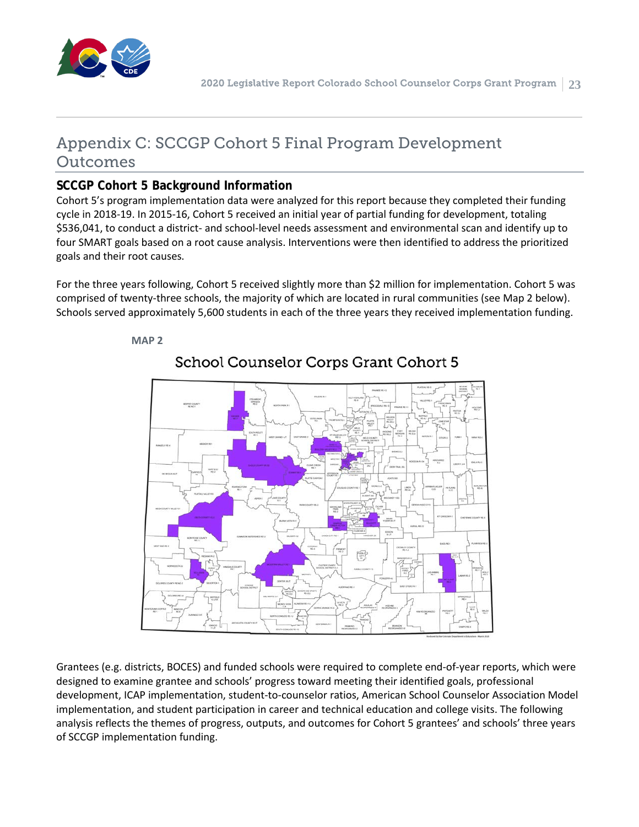

## Appendix C: SCCGP Cohort 5 Final Program Development Outcomes

#### **SCCGP Cohort 5 Background Information**

**MAP 2**

Cohort 5's program implementation data were analyzed for this report because they completed their funding cycle in 2018-19. In 2015-16, Cohort 5 received an initial year of partial funding for development, totaling \$536,041, to conduct a district- and school-level needs assessment and environmental scan and identify up to four SMART goals based on a root cause analysis. Interventions were then identified to address the prioritized goals and their root causes.

For the three years following, Cohort 5 received slightly more than \$2 million for implementation. Cohort 5 was comprised of twenty-three schools, the majority of which are located in rural communities (see Map 2 below). Schools served approximately 5,600 students in each of the three years they received implementation funding.



School Counselor Corps Grant Cohort 5

Grantees (e.g. districts, BOCES) and funded schools were required to complete end-of-year reports, which were designed to examine grantee and schools' progress toward meeting their identified goals, professional development, ICAP implementation, student-to-counselor ratios, American School Counselor Association Model implementation, and student participation in career and technical education and college visits. The following analysis reflects the themes of progress, outputs, and outcomes for Cohort 5 grantees' and schools' three years of SCCGP implementation funding.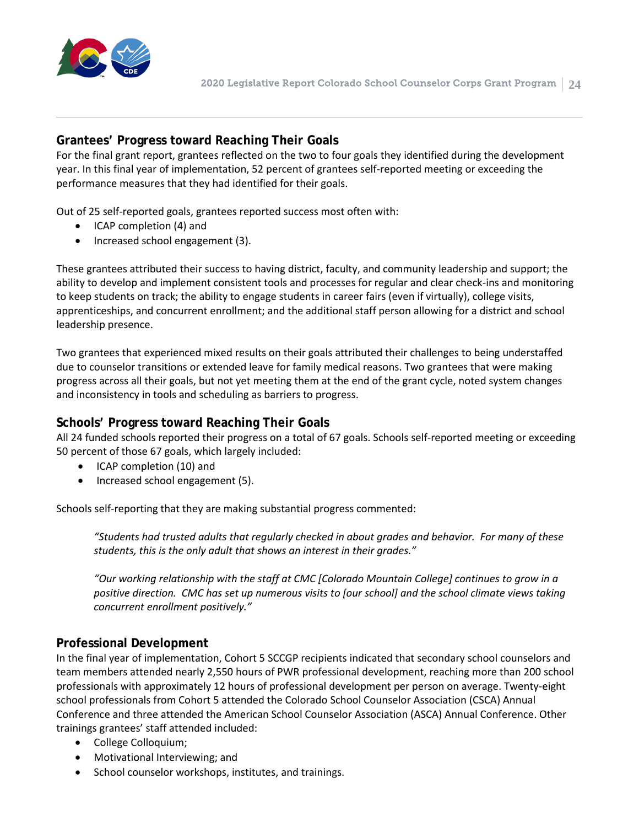

#### **Grantees' Progress toward Reaching Their Goals**

For the final grant report, grantees reflected on the two to four goals they identified during the development year. In this final year of implementation, 52 percent of grantees self-reported meeting or exceeding the performance measures that they had identified for their goals.

Out of 25 self-reported goals, grantees reported success most often with:

- ICAP completion (4) and
- Increased school engagement (3).

These grantees attributed their success to having district, faculty, and community leadership and support; the ability to develop and implement consistent tools and processes for regular and clear check-ins and monitoring to keep students on track; the ability to engage students in career fairs (even if virtually), college visits, apprenticeships, and concurrent enrollment; and the additional staff person allowing for a district and school leadership presence.

Two grantees that experienced mixed results on their goals attributed their challenges to being understaffed due to counselor transitions or extended leave for family medical reasons. Two grantees that were making progress across all their goals, but not yet meeting them at the end of the grant cycle, noted system changes and inconsistency in tools and scheduling as barriers to progress.

#### **Schools' Progress toward Reaching Their Goals**

All 24 funded schools reported their progress on a total of 67 goals. Schools self-reported meeting or exceeding 50 percent of those 67 goals, which largely included:

- ICAP completion (10) and
- Increased school engagement (5).

Schools self-reporting that they are making substantial progress commented:

*"Students had trusted adults that regularly checked in about grades and behavior. For many of these students, this is the only adult that shows an interest in their grades."*

*"Our working relationship with the staff at CMC [Colorado Mountain College] continues to grow in a positive direction. CMC has set up numerous visits to [our school] and the school climate views taking concurrent enrollment positively."* 

#### **Professional Development**

In the final year of implementation, Cohort 5 SCCGP recipients indicated that secondary school counselors and team members attended nearly 2,550 hours of PWR professional development, reaching more than 200 school professionals with approximately 12 hours of professional development per person on average. Twenty-eight school professionals from Cohort 5 attended the Colorado School Counselor Association (CSCA) Annual Conference and three attended the American School Counselor Association (ASCA) Annual Conference. Other trainings grantees' staff attended included:

- College Colloquium;
- Motivational Interviewing; and
- School counselor workshops, institutes, and trainings.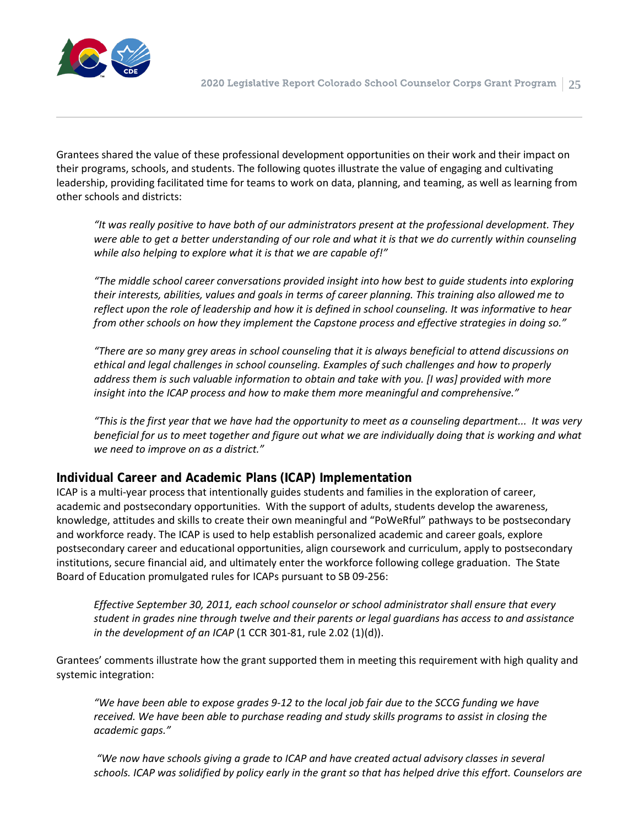

Grantees shared the value of these professional development opportunities on their work and their impact on their programs, schools, and students. The following quotes illustrate the value of engaging and cultivating leadership, providing facilitated time for teams to work on data, planning, and teaming, as well as learning from other schools and districts:

*"It was really positive to have both of our administrators present at the professional development. They were able to get a better understanding of our role and what it is that we do currently within counseling while also helping to explore what it is that we are capable of!"*

*"The middle school career conversations provided insight into how best to guide students into exploring their interests, abilities, values and goals in terms of career planning. This training also allowed me to reflect upon the role of leadership and how it is defined in school counseling. It was informative to hear from other schools on how they implement the Capstone process and effective strategies in doing so."*

*"There are so many grey areas in school counseling that it is always beneficial to attend discussions on ethical and legal challenges in school counseling. Examples of such challenges and how to properly address them is such valuable information to obtain and take with you. [I was] provided with more insight into the ICAP process and how to make them more meaningful and comprehensive."* 

*"This is the first year that we have had the opportunity to meet as a counseling department... It was very beneficial for us to meet together and figure out what we are individually doing that is working and what we need to improve on as a district."*

#### **Individual Career and Academic Plans (ICAP) Implementation**

ICAP is a multi-year process that intentionally guides students and families in the exploration of career, academic and postsecondary opportunities. With the support of adults, students develop the awareness, knowledge, attitudes and skills to create their own meaningful and "PoWeRful" pathways to be postsecondary and workforce ready. The ICAP is used to help establish personalized academic and career goals, explore postsecondary career and educational opportunities, align coursework and curriculum, apply to postsecondary institutions, secure financial aid, and ultimately enter the workforce following college graduation. The State Board of Education promulgated rules for ICAPs pursuant to SB 09-256:

*Effective September 30, 2011, each school counselor or school administrator shall ensure that every student in grades nine through twelve and their parents or legal guardians has access to and assistance in the development of an ICAP* (1 CCR 301-81, rule 2.02 (1)(d)).

Grantees' comments illustrate how the grant supported them in meeting this requirement with high quality and systemic integration:

*"We have been able to expose grades 9-12 to the local job fair due to the SCCG funding we have received. We have been able to purchase reading and study skills programs to assist in closing the academic gaps."*

*"We now have schools giving a grade to ICAP and have created actual advisory classes in several schools. ICAP was solidified by policy early in the grant so that has helped drive this effort. Counselors are*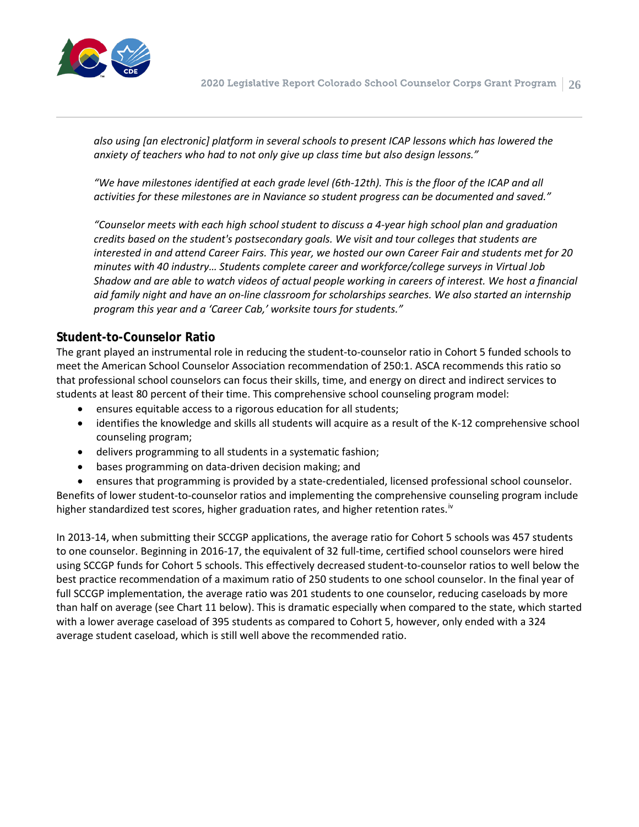

*also using [an electronic] platform in several schools to present ICAP lessons which has lowered the anxiety of teachers who had to not only give up class time but also design lessons."*

*"We have milestones identified at each grade level (6th-12th). This is the floor of the ICAP and all activities for these milestones are in Naviance so student progress can be documented and saved."*

*"Counselor meets with each high school student to discuss a 4-year high school plan and graduation credits based on the student's postsecondary goals. We visit and tour colleges that students are interested in and attend Career Fairs. This year, we hosted our own Career Fair and students met for 20 minutes with 40 industry… Students complete career and workforce/college surveys in Virtual Job Shadow and are able to watch videos of actual people working in careers of interest. We host a financial aid family night and have an on-line classroom for scholarships searches. We also started an internship program this year and a 'Career Cab,' worksite tours for students."* 

#### **Student-to-Counselor Ratio**

The grant played an instrumental role in reducing the student-to-counselor ratio in Cohort 5 funded schools to meet the American School Counselor Association recommendation of 250:1. ASCA recommends this ratio so that professional school counselors can focus their skills, time, and energy on direct and indirect services to students at least 80 percent of their time. This comprehensive school counseling program model:

- ensures equitable access to a rigorous education for all students;
- identifies the knowledge and skills all students will acquire as a result of the K-12 comprehensive school counseling program;
- delivers programming to all students in a systematic fashion;
- bases programming on data-driven decision making; and
- ensures that programming is provided by a state-credentialed, licensed professional school counselor.

Benefits of lower student-to-counselor ratios and implementing the comprehensive counseling program include higher standardized test scores, higher graduation rates, and higher retention rates.<sup>[iv](#page-29-3)</sup>

In 2013-14, when submitting their SCCGP applications, the average ratio for Cohort 5 schools was 457 students to one counselor. Beginning in 2016-17, the equivalent of 32 full-time, certified school counselors were hired using SCCGP funds for Cohort 5 schools. This effectively decreased student-to-counselor ratios to well below the best practice recommendation of a maximum ratio of 250 students to one school counselor. In the final year of full SCCGP implementation, the average ratio was 201 students to one counselor, reducing caseloads by more than half on average (see Chart 11 below). This is dramatic especially when compared to the state, which started with a lower average caseload of 395 students as compared to Cohort 5, however, only ended with a 324 average student caseload, which is still well above the recommended ratio.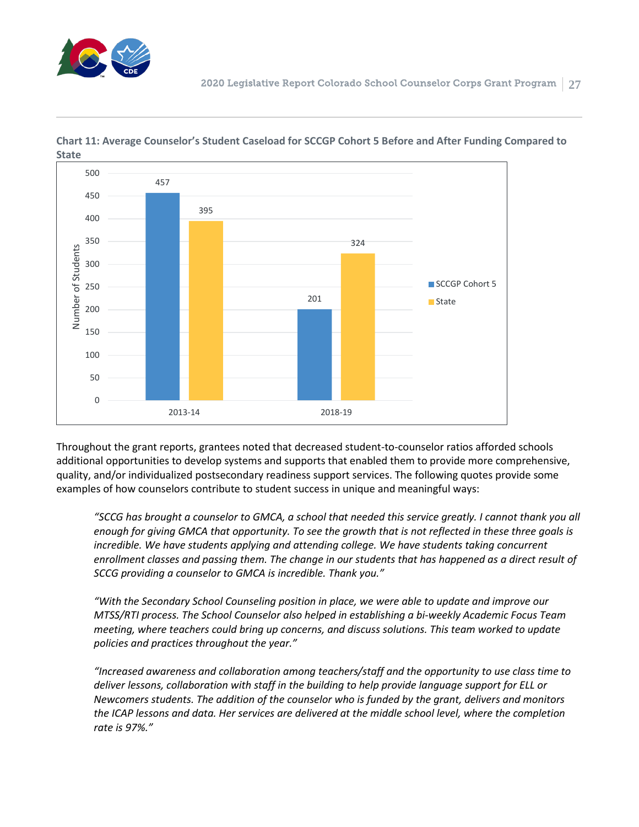



**Chart 11: Average Counselor's Student Caseload for SCCGP Cohort 5 Before and After Funding Compared to State**

Throughout the grant reports, grantees noted that decreased student-to-counselor ratios afforded schools additional opportunities to develop systems and supports that enabled them to provide more comprehensive, quality, and/or individualized postsecondary readiness support services. The following quotes provide some examples of how counselors contribute to student success in unique and meaningful ways:

*"SCCG has brought a counselor to GMCA, a school that needed this service greatly. I cannot thank you all enough for giving GMCA that opportunity. To see the growth that is not reflected in these three goals is*  incredible. We have students applying and attending college. We have students taking concurrent *enrollment classes and passing them. The change in our students that has happened as a direct result of SCCG providing a counselor to GMCA is incredible. Thank you."*

*"With the Secondary School Counseling position in place, we were able to update and improve our MTSS/RTI process. The School Counselor also helped in establishing a bi-weekly Academic Focus Team meeting, where teachers could bring up concerns, and discuss solutions. This team worked to update policies and practices throughout the year."*

*"Increased awareness and collaboration among teachers/staff and the opportunity to use class time to deliver lessons, collaboration with staff in the building to help provide language support for ELL or Newcomers students. The addition of the counselor who is funded by the grant, delivers and monitors the ICAP lessons and data. Her services are delivered at the middle school level, where the completion rate is 97%."*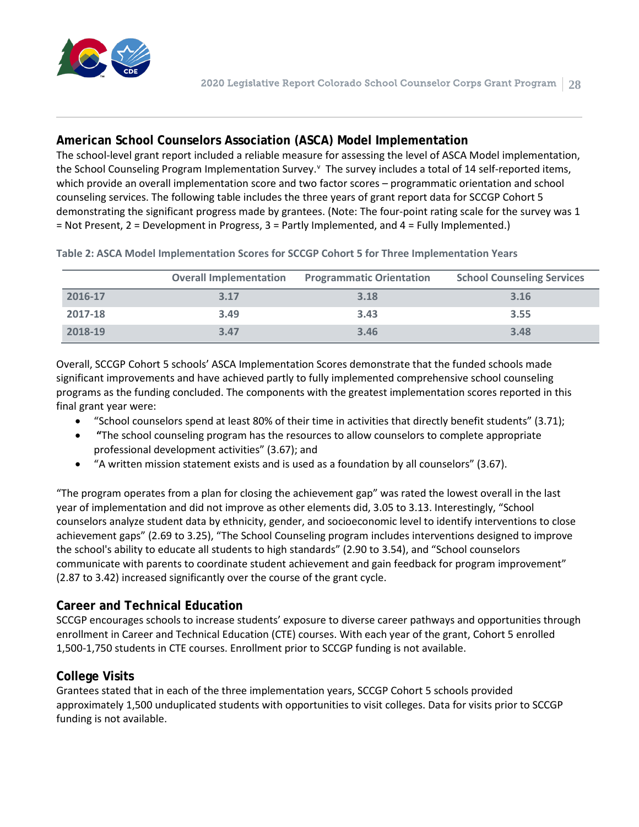

#### **American School Counselors Association (ASCA) Model Implementation**

The school-level grant report included a reliable measure for assessing the level of ASCA Model implementation, the School Counseling Program Implementation Sur[v](#page-29-4)ey. <sup>V</sup> The survey includes a total of 14 self-reported items, which provide an overall implementation score and two factor scores – programmatic orientation and school counseling services. The following table includes the three years of grant report data for SCCGP Cohort 5 demonstrating the significant progress made by grantees. (Note: The four-point rating scale for the survey was 1 = Not Present, 2 = Development in Progress, 3 = Partly Implemented, and 4 = Fully Implemented.)

|         | <b>Overall Implementation</b> | <b>Programmatic Orientation</b> | <b>School Counseling Services</b> |
|---------|-------------------------------|---------------------------------|-----------------------------------|
| 2016-17 | 3.17                          | 3.18                            | 3.16                              |
| 2017-18 | 3.49                          | 3.43                            | 3.55                              |
| 2018-19 | 3.47                          | 3.46                            | 3.48                              |

**Table 2: ASCA Model Implementation Scores for SCCGP Cohort 5 for Three Implementation Years**

Overall, SCCGP Cohort 5 schools' ASCA Implementation Scores demonstrate that the funded schools made significant improvements and have achieved partly to fully implemented comprehensive school counseling programs as the funding concluded. The components with the greatest implementation scores reported in this final grant year were:

- "School counselors spend at least 80% of their time in activities that directly benefit students" (3.71);
- **"**The school counseling program has the resources to allow counselors to complete appropriate professional development activities" (3.67); and
- "A written mission statement exists and is used as a foundation by all counselors" (3.67).

"The program operates from a plan for closing the achievement gap" was rated the lowest overall in the last year of implementation and did not improve as other elements did, 3.05 to 3.13. Interestingly, "School counselors analyze student data by ethnicity, gender, and socioeconomic level to identify interventions to close achievement gaps" (2.69 to 3.25), "The School Counseling program includes interventions designed to improve the school's ability to educate all students to high standards" (2.90 to 3.54), and "School counselors communicate with parents to coordinate student achievement and gain feedback for program improvement" (2.87 to 3.42) increased significantly over the course of the grant cycle.

#### **Career and Technical Education**

SCCGP encourages schools to increase students' exposure to diverse career pathways and opportunities through enrollment in Career and Technical Education (CTE) courses. With each year of the grant, Cohort 5 enrolled 1,500-1,750 students in CTE courses. Enrollment prior to SCCGP funding is not available.

#### **College Visits**

Grantees stated that in each of the three implementation years, SCCGP Cohort 5 schools provided approximately 1,500 unduplicated students with opportunities to visit colleges. Data for visits prior to SCCGP funding is not available.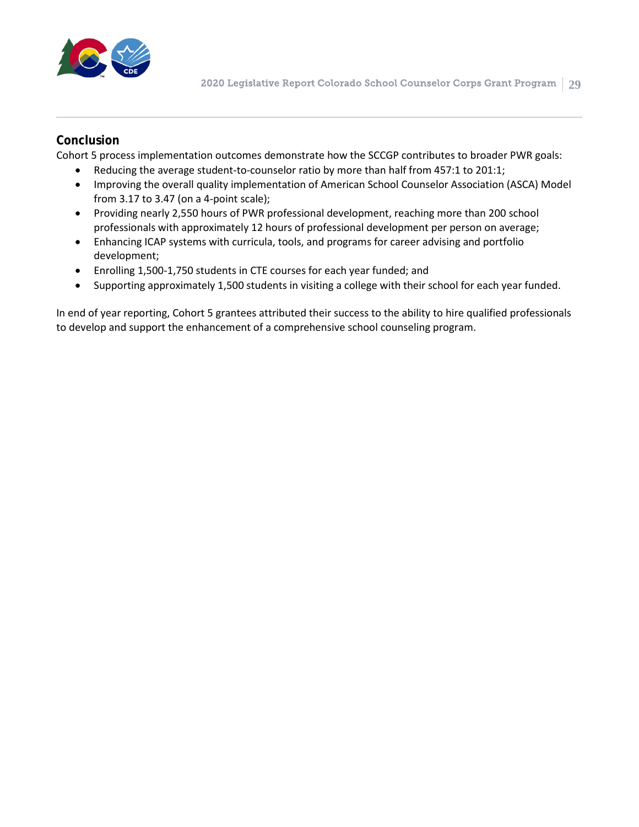

#### **Conclusion**

Cohort 5 process implementation outcomes demonstrate how the SCCGP contributes to broader PWR goals:

- Reducing the average student-to-counselor ratio by more than half from 457:1 to 201:1;
- Improving the overall quality implementation of American School Counselor Association (ASCA) Model from 3.17 to 3.47 (on a 4-point scale);
- Providing nearly 2,550 hours of PWR professional development, reaching more than 200 school professionals with approximately 12 hours of professional development per person on average;
- Enhancing ICAP systems with curricula, tools, and programs for career advising and portfolio development;
- Enrolling 1,500-1,750 students in CTE courses for each year funded; and
- Supporting approximately 1,500 students in visiting a college with their school for each year funded.

In end of year reporting, Cohort 5 grantees attributed their success to the ability to hire qualified professionals to develop and support the enhancement of a comprehensive school counseling program.